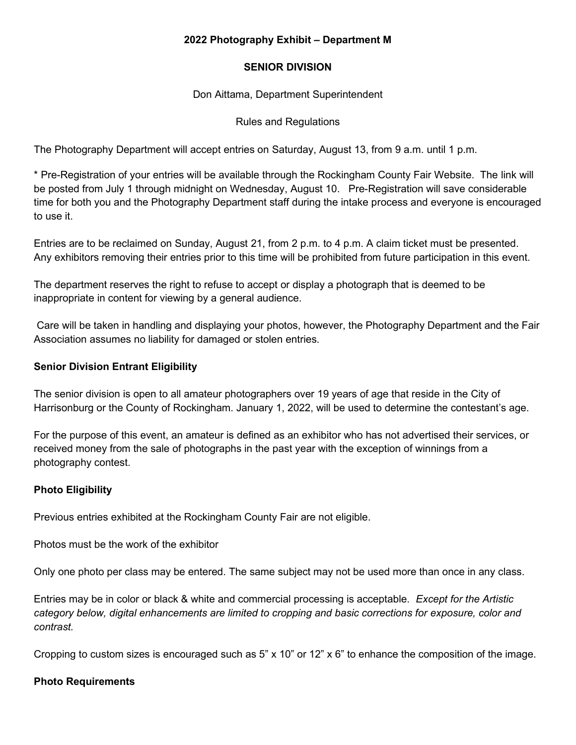## **2022 Photography Exhibit – Department M**

## **SENIOR DIVISION**

Don Aittama, Department Superintendent

## Rules and Regulations

The Photography Department will accept entries on Saturday, August 13, from 9 a.m. until 1 p.m.

\* Pre-Registration of your entries will be available through the Rockingham County Fair Website. The link will be posted from July 1 through midnight on Wednesday, August 10. Pre-Registration will save considerable time for both you and the Photography Department staff during the intake process and everyone is encouraged to use it.

Entries are to be reclaimed on Sunday, August 21, from 2 p.m. to 4 p.m. A claim ticket must be presented. Any exhibitors removing their entries prior to this time will be prohibited from future participation in this event.

The department reserves the right to refuse to accept or display a photograph that is deemed to be inappropriate in content for viewing by a general audience.

Care will be taken in handling and displaying your photos, however, the Photography Department and the Fair Association assumes no liability for damaged or stolen entries.

# **Senior Division Entrant Eligibility**

The senior division is open to all amateur photographers over 19 years of age that reside in the City of Harrisonburg or the County of Rockingham. January 1, 2022, will be used to determine the contestant's age.

For the purpose of this event, an amateur is defined as an exhibitor who has not advertised their services, or received money from the sale of photographs in the past year with the exception of winnings from a photography contest.

## **Photo Eligibility**

Previous entries exhibited at the Rockingham County Fair are not eligible.

Photos must be the work of the exhibitor

Only one photo per class may be entered. The same subject may not be used more than once in any class.

Entries may be in color or black & white and commercial processing is acceptable. *Except for the Artistic category below, digital enhancements are limited to cropping and basic corrections for exposure, color and contrast.* 

Cropping to custom sizes is encouraged such as 5" x 10" or 12" x 6" to enhance the composition of the image.

#### **Photo Requirements**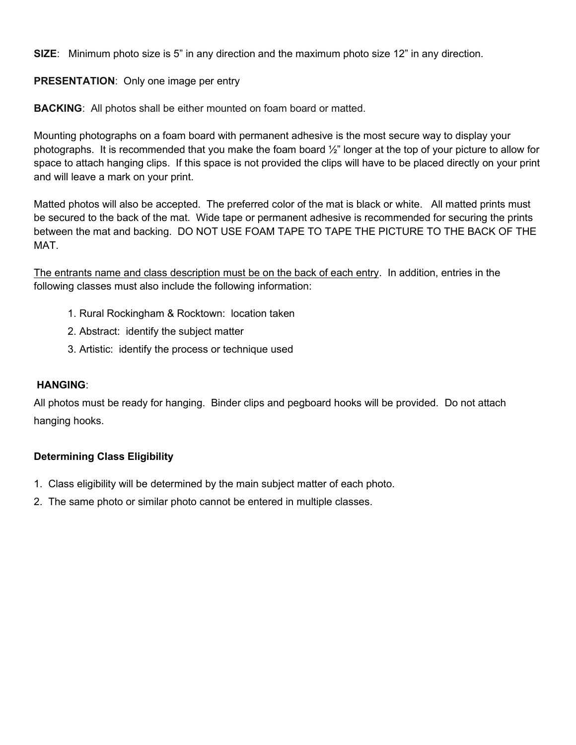**SIZE**: Minimum photo size is 5" in any direction and the maximum photo size 12" in any direction.

**PRESENTATION**: Only one image per entry

**BACKING**: All photos shall be either mounted on foam board or matted.

Mounting photographs on a foam board with permanent adhesive is the most secure way to display your photographs. It is recommended that you make the foam board ½" longer at the top of your picture to allow for space to attach hanging clips. If this space is not provided the clips will have to be placed directly on your print and will leave a mark on your print.

Matted photos will also be accepted. The preferred color of the mat is black or white. All matted prints must be secured to the back of the mat. Wide tape or permanent adhesive is recommended for securing the prints between the mat and backing. DO NOT USE FOAM TAPE TO TAPE THE PICTURE TO THE BACK OF THE MAT.

The entrants name and class description must be on the back of each entry. In addition, entries in the following classes must also include the following information:

- 1. Rural Rockingham & Rocktown: location taken
- 2. Abstract: identify the subject matter
- 3. Artistic: identify the process or technique used

#### **HANGING**:

All photos must be ready for hanging. Binder clips and pegboard hooks will be provided. Do not attach hanging hooks.

#### **Determining Class Eligibility**

- 1. Class eligibility will be determined by the main subject matter of each photo.
- 2. The same photo or similar photo cannot be entered in multiple classes.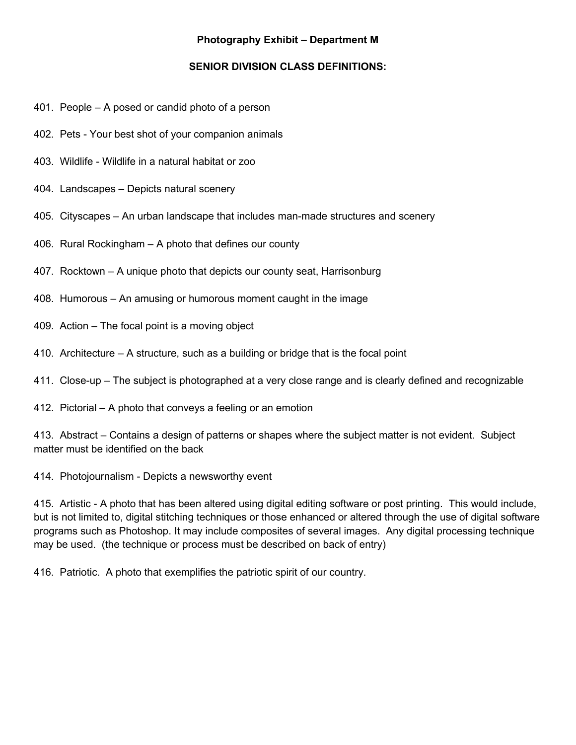## **Photography Exhibit – Department M**

#### **SENIOR DIVISION CLASS DEFINITIONS:**

- 401. People A posed or candid photo of a person
- 402. Pets Your best shot of your companion animals
- 403. Wildlife Wildlife in a natural habitat or zoo
- 404. Landscapes Depicts natural scenery
- 405. Cityscapes An urban landscape that includes man-made structures and scenery
- 406. Rural Rockingham A photo that defines our county
- 407. Rocktown A unique photo that depicts our county seat, Harrisonburg
- 408. Humorous An amusing or humorous moment caught in the image
- 409. Action The focal point is a moving object
- 410. Architecture A structure, such as a building or bridge that is the focal point
- 411. Close-up The subject is photographed at a very close range and is clearly defined and recognizable
- 412. Pictorial A photo that conveys a feeling or an emotion

413. Abstract – Contains a design of patterns or shapes where the subject matter is not evident. Subject matter must be identified on the back

414. Photojournalism - Depicts a newsworthy event

415. Artistic - A photo that has been altered using digital editing software or post printing. This would include, but is not limited to, digital stitching techniques or those enhanced or altered through the use of digital software programs such as Photoshop. It may include composites of several images. Any digital processing technique may be used. (the technique or process must be described on back of entry)

416. Patriotic.A photo that exemplifies the patriotic spirit of our country.